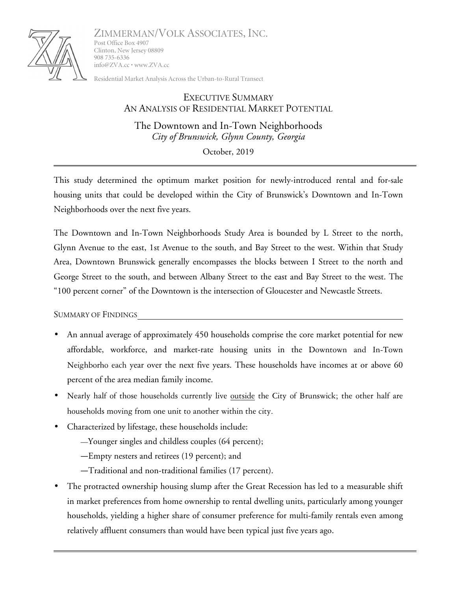

ZIMMERMAN/VOLK ASSOCIATES, INC. Post Office Box 4907 Clinton, New Jersey 08809 908 735-6336

Residential Market Analysis Across the Urban-to-Rural Transect

info@ZVA.cc • www.ZVA.cc

## EXECUTIVE SUMMARY AN ANALYSIS OF RESIDENTIAL MARKET POTENTIAL

The Downtown and In-Town Neighborhoods *City of Brunswick, Glynn County, Georgia*

October, 2019

This study determined the optimum market position for newly-introduced rental and for-sale housing units that could be developed within the City of Brunswick's Downtown and In-Town Neighborhoods over the next five years.

The Downtown and In-Town Neighborhoods Study Area is bounded by L Street to the north, Glynn Avenue to the east, 1st Avenue to the south, and Bay Street to the west. Within that Study Area, Downtown Brunswick generally encompasses the blocks between I Street to the north and George Street to the south, and between Albany Street to the east and Bay Street to the west. The "100 percent corner" of the Downtown is the intersection of Gloucester and Newcastle Streets.

SUMMARY OF FINDINGS

- An annual average of approximately 450 households comprise the core market potential for new affordable, workforce, and market-rate housing units in the Downtown and In-Town Neighborho each year over the next five years. These households have incomes at or above 60 percent of the area median family income.
- Nearly half of those households currently live outside the City of Brunswick; the other half are households moving from one unit to another within the city.
- Characterized by lifestage, these households include:
	- —Younger singles and childless couples (64 percent);
	- —Empty nesters and retirees (19 percent); and
	- —Traditional and non-traditional families (17 percent).
- The protracted ownership housing slump after the Great Recession has led to a measurable shift in market preferences from home ownership to rental dwelling units, particularly among younger households, yielding a higher share of consumer preference for multi-family rentals even among relatively affluent consumers than would have been typical just five years ago.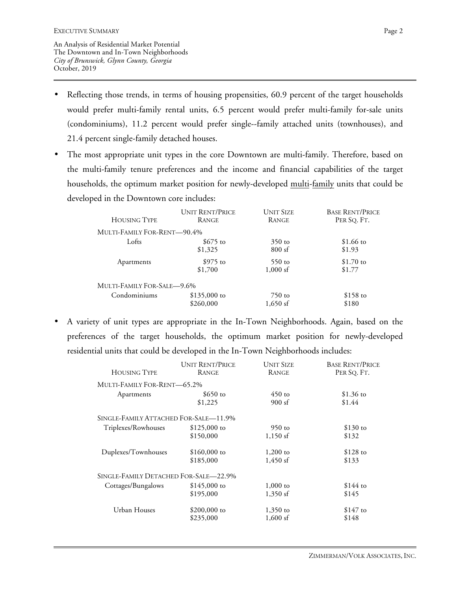- Reflecting those trends, in terms of housing propensities, 60.9 percent of the target households would prefer multi-family rental units, 6.5 percent would prefer multi-family for-sale units (condominiums), 11.2 percent would prefer single--family attached units (townhouses), and 21.4 percent single-family detached houses.
- The most appropriate unit types in the core Downtown are multi-family. Therefore, based on the multi-family tenure preferences and the income and financial capabilities of the target households, the optimum market position for newly-developed multi-family units that could be developed in the Downtown core includes:

| <b>HOUSING TYPE</b>         | <b>UNIT RENT/PRICE</b> | <b>UNIT SIZE</b> | <b>BASE RENT/PRICE</b> |
|-----------------------------|------------------------|------------------|------------------------|
|                             | <b>RANGE</b>           | <b>RANGE</b>     | PER SQ. FT.            |
| MULTI-FAMILY FOR-RENT-90.4% |                        |                  |                        |
| Lofts                       | $$675$ to              | $350$ to         | \$1.66 to              |
|                             | \$1,325                | 800sf            | \$1.93                 |
| Apartments                  | $$975$ to              | $550$ to         | $$1.70$ to             |
|                             | \$1,700                | $1,000$ sf       | \$1.77                 |
| MULTI-FAMILY FOR-SALE—9.6%  |                        |                  |                        |
| Condominiums                | $$135,000$ to          | $750$ to         | $$158$ to              |
|                             | \$260,000              | $1,650$ sf       | \$180                  |

• A variety of unit types are appropriate in the In-Town Neighborhoods. Again, based on the preferences of the target households, the optimum market position for newly-developed residential units that could be developed in the In-Town Neighborhoods includes:

| <b>HOUSING TYPE</b>                   | <b>UNIT RENT/PRICE</b> | <b>UNIT SIZE</b> | <b>BASE RENT/PRICE</b> |
|---------------------------------------|------------------------|------------------|------------------------|
|                                       | <b>RANGE</b>           | <b>RANGE</b>     | PER SQ. FT.            |
| MULTI-FAMILY FOR-RENT—65.2%           |                        |                  |                        |
| Apartments                            | $$650$ to              | $450$ to         | \$1.36 to              |
|                                       | \$1,225                | 900sf            | \$1.44                 |
| SINGLE-FAMILY ATTACHED FOR-SALE-11.9% |                        |                  |                        |
| Triplexes/Rowhouses                   | $$125,000$ to          | $950$ to         | $$130$ to              |
|                                       | \$150,000              | $1,150$ sf       | \$132                  |
| Duplexes/Townhouses                   | \$160,000 to           | $1,200$ to       | $$128$ to              |
|                                       | \$185,000              | $1,450$ sf       | \$133                  |
| SINGLE-FAMILY DETACHED FOR-SALE—22.9% |                        |                  |                        |
| Cottages/Bungalows                    | $$145,000$ to          | $1,000$ to       | $$144$ to              |
|                                       | \$195,000              | $1,350$ sf       | \$145                  |
| Urban Houses                          | \$200,000 to           | $1,350$ to       | $$147$ to              |
|                                       | \$235,000              | $1,600$ sf       | \$148                  |